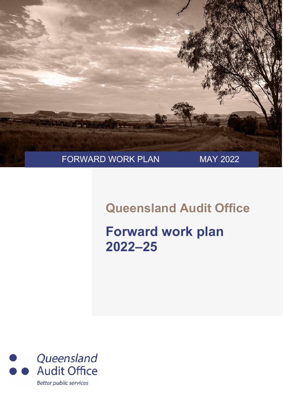

## **Queensland Audit Office**

## **Forward work plan 2022–25**

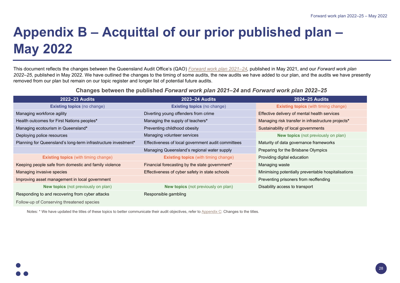## **Appendix B – Acquittal of our prior published plan – May 2022**

This document reflects the changes between the Queensland Audit Office's (QAO) *[Forward work plan 2021–24,](https://www.qao.qld.gov.au/sites/default/files/2021-08/Forward%20work%20plan%202021%E2%80%9324_1.pdf)* published in May 2021, and our *Forward work plan 2022–25*, published in May 2022. We have outlined the changes to the timing of some audits, the new audits we have added to our plan, and the audits we have presently removed from our plan but remain on our topic register and longer list of potential future audits.

**Changes between the published** *Forward work plan 2021–24* **and** *Forward work plan 2022–25*

| <b>2022–23 Audits</b>                                          | <b>2023–24 Audits</b>                              | <b>2024–25 Audits</b>                               |  |
|----------------------------------------------------------------|----------------------------------------------------|-----------------------------------------------------|--|
| <b>Existing topics (no change)</b>                             | <b>Existing topics (no change)</b>                 | <b>Existing topics</b> (with timing change)         |  |
| Managing workforce agility                                     | Diverting young offenders from crime               | Effective delivery of mental health services        |  |
| Health outcomes for First Nations peoples*                     | Managing the supply of teachers*                   | Managing risk transfer in infrastructure projects*  |  |
| Managing ecotourism in Queensland*                             | Preventing childhood obesity                       | Sustainability of local governments                 |  |
| Deploying police resources                                     | Managing volunteer services                        | <b>New topics</b> (not previously on plan)          |  |
| Planning for Queensland's long-term infrastructure investment* | Effectiveness of local government audit committees | Maturity of data governance frameworks              |  |
|                                                                | Managing Queensland's regional water supply        | Preparing for the Brisbane Olympics                 |  |
| <b>Existing topics</b> (with timing change)                    | <b>Existing topics</b> (with timing change)        | Providing digital education                         |  |
| Keeping people safe from domestic and family violence          | Financial forecasting by the state government*     | Managing waste                                      |  |
| Managing invasive species                                      | Effectiveness of cyber safety in state schools     | Minimising potentially preventable hospitalisations |  |
| Improving asset management in local government                 |                                                    | Preventing prisoners from reoffending               |  |
| <b>New topics</b> (not previously on plan)                     | <b>New topics</b> (not previously on plan)         | Disability access to transport                      |  |
| Responding to and recovering from cyber attacks                | Responsible gambling                               |                                                     |  |
| Follow-up of Conserving threatened species                     |                                                    |                                                     |  |

Notes: \* We have updated the titles of these topics to better communicate their audit objectives, refer t[o Appendix C:](#page--1-0) Changes to the titles.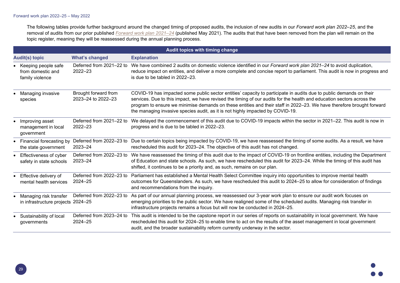The following tables provide further background around the changed timing of proposed audits, the inclusion of new audits in our *Forward work plan 2022–25*, and the removal of audits from our prior published *[Forward work plan 2021–24](https://www.qao.qld.gov.au/sites/default/files/2021-08/Forward%20work%20plan%202021%E2%80%9324_1.pdf)* (published May 2021). The audits that that have been removed from the plan will remain on the topic register, meaning they will be reassessed during the annual planning process.

| Audit topics with timing change |                                                                |                                            |                                                                                                                                                                                                                                                                                                                                                                                                                                                          |
|---------------------------------|----------------------------------------------------------------|--------------------------------------------|----------------------------------------------------------------------------------------------------------------------------------------------------------------------------------------------------------------------------------------------------------------------------------------------------------------------------------------------------------------------------------------------------------------------------------------------------------|
|                                 | <b>Audit(s) topic</b>                                          | <b>What's changed</b>                      | <b>Explanation</b>                                                                                                                                                                                                                                                                                                                                                                                                                                       |
|                                 | • Keeping people safe<br>from domestic and<br>family violence  | Deferred from 2021-22 to<br>$2022 - 23$    | We have combined 2 audits on domestic violence identified in our Forward work plan 2021–24 to avoid duplication,<br>reduce impact on entities, and deliver a more complete and concise report to parliament. This audit is now in progress and<br>is due to be tabled in 2022-23.                                                                                                                                                                        |
|                                 | • Managing invasive<br>species                                 | Brought forward from<br>2023-24 to 2022-23 | COVID-19 has impacted some public sector entities' capacity to participate in audits due to public demands on their<br>services. Due to this impact, we have revised the timing of our audits for the health and education sectors across the<br>program to ensure we minimise demands on these entities and their staff in 2022–23. We have therefore brought forward<br>the managing invasive species audit, as it is not highly impacted by COVID-19. |
|                                 | • Improving asset<br>management in local<br>government         | Deferred from 2021-22 to<br>$2022 - 23$    | We delayed the commencement of this audit due to COVID-19 impacts within the sector in 2021-22. This audit is now in<br>progress and is due to be tabled in 2022-23.                                                                                                                                                                                                                                                                                     |
|                                 | • Financial forecasting by<br>the state government             | Deferred from 2022-23 to<br>$2023 - 24$    | Due to certain topics being impacted by COVID-19, we have reassessed the timing of some audits. As a result, we have<br>rescheduled this audit for 2023-24. The objective of this audit has not changed.                                                                                                                                                                                                                                                 |
|                                 | Effectiveness of cyber<br>safety in state schools              | 2023-24                                    | Deferred from 2022-23 to We have reassessed the timing of this audit due to the impact of COVID-19 on frontline entities, including the Department<br>of Education and state schools. As such, we have rescheduled this audit for 2023-24. While the timing of this audit has<br>shifted, it continues to be a priority and, as such, remains on our plan.                                                                                               |
|                                 | • Effective delivery of<br>mental health services              | Deferred from 2022-23 to<br>$2024 - 25$    | Parliament has established a Mental Health Select Committee inquiry into opportunities to improve mental health<br>outcomes for Queenslanders. As such, we have rescheduled this audit to 2024-25 to allow for consideration of findings<br>and recommendations from the inquiry.                                                                                                                                                                        |
|                                 | • Managing risk transfer<br>in infrastructure projects 2024-25 | Deferred from 2022-23 to                   | As part of our annual planning process, we reassessed our 3-year work plan to ensure our audit work focuses on<br>emerging priorities to the public sector. We have realigned some of the scheduled audits. Managing risk transfer in<br>infrastructure projects remains a focus but will now be conducted in 2024-25.                                                                                                                                   |
|                                 | Sustainability of local<br>governments                         | Deferred from 2023-24 to<br>$2024 - 25$    | This audit is intended to be the capstone report in our series of reports on sustainability in local government. We have<br>rescheduled this audit for 2024–25 to enable time to act on the results of the asset management in local government<br>audit, and the broader sustainability reform currently underway in the sector.                                                                                                                        |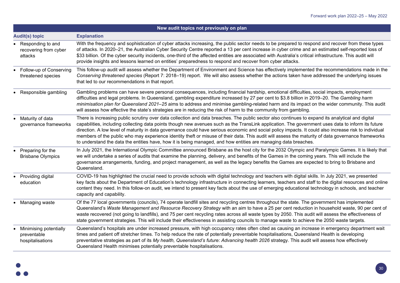|           | New audit topics not previously on plan                   |                                                                                                                                                                                                                                                                                                                                                                                                                                                                                                                                                                                                                                                                                                                                            |  |
|-----------|-----------------------------------------------------------|--------------------------------------------------------------------------------------------------------------------------------------------------------------------------------------------------------------------------------------------------------------------------------------------------------------------------------------------------------------------------------------------------------------------------------------------------------------------------------------------------------------------------------------------------------------------------------------------------------------------------------------------------------------------------------------------------------------------------------------------|--|
|           | <b>Audit(s) topic</b>                                     | <b>Explanation</b>                                                                                                                                                                                                                                                                                                                                                                                                                                                                                                                                                                                                                                                                                                                         |  |
|           | • Responding to and<br>recovering from cyber<br>attacks   | With the frequency and sophistication of cyber attacks increasing, the public sector needs to be prepared to respond and recover from these types<br>of attacks. In 2020–21, the Australian Cyber Security Centre reported a 13 per cent increase in cyber crime and an estimated self-reported loss of<br>\$33 billion. Of the cyber security incidents, one-third of the affected entities are associated with Australia's critical infrastructure. This audit will<br>provide insights and lessons learned on entities' preparedness to respond and recover from cyber attacks.                                                                                                                                                         |  |
|           | • Follow-up of Conserving<br>threatened species           | This follow-up audit will assess whether the Department of Environment and Science has effectively implemented the recommendations made in the<br>Conserving threatened species (Report 7: 2018-19) report. We will also assess whether the actions taken have addressed the underlying issues<br>that led to our recommendations in that report.                                                                                                                                                                                                                                                                                                                                                                                          |  |
|           | • Responsible gambling                                    | Gambling problems can have severe personal consequences, including financial hardship, emotional difficulties, social impacts, employment<br>difficulties and legal problems. In Queensland, gambling expenditure increased by 27 per cent to \$3.8 billion in 2019–20. The Gambling harm<br>minimisation plan for Queensland 2021-25 aims to address and minimise gambling-related harm and its impact on the wider community. This audit<br>will assess how effective the state's strategies are in reducing the risk of harm to the community from gambling.                                                                                                                                                                            |  |
|           | • Maturity of data<br>governance frameworks               | There is increasing public scrutiny over data collection and data breaches. The public sector also continues to expand its analytical and digital<br>capabilities, including collecting data points though new avenues such as the TransLink application. The government uses data to inform its future<br>direction. A low level of maturity in data governance could have serious economic and social policy impacts. It could also increase risk to individual<br>members of the public who may experience identity theft or misuse of their data. This audit will assess the maturity of data governance frameworks<br>to understand the data the entities have, how it is being managed, and how entities are managing data breaches. |  |
|           | • Preparing for the<br><b>Brisbane Olympics</b>           | In July 2021, the International Olympic Committee announced Brisbane as the host city for the 2032 Olympic and Paralympic Games. It is likely that<br>we will undertake a series of audits that examine the planning, delivery, and benefits of the Games in the coming years. This will include the<br>governance arrangements, funding, and project management, as well as the legacy benefits the Games are expected to bring to Brisbane and<br>Queensland.                                                                                                                                                                                                                                                                            |  |
|           | • Providing digital<br>education                          | COVID-19 has highlighted the crucial need to provide schools with digital technology and teachers with digital skills. In July 2021, we presented<br>key facts about the Department of Education's technology infrastructure in connecting learners, teachers and staff to the digital resources and online<br>content they need. In this follow-on audit, we intend to present key facts about the use of emerging educational technology in schools, and teacher<br>capacity and capability.                                                                                                                                                                                                                                             |  |
|           | • Managing waste                                          | Of the 77 local governments (councils), 74 operate landfill sites and recycling centres throughout the state. The government has implemented<br>Queensland's Waste Management and Resource Recovery Strategy with an aim to have a 25 per cent reduction in household waste, 90 per cent of<br>waste recovered (not going to landfills), and 75 per cent recycling rates across all waste types by 2050. This audit will assess the effectiveness of<br>state government strategies. This will include their effectiveness in assisting councils to manage waste to achieve the 2050 waste targets.                                                                                                                                        |  |
| $\bullet$ | Minimising potentially<br>preventable<br>hospitalisations | Queensland's hospitals are under increased pressure, with high occupancy rates often cited as causing an increase in emergency department wait<br>times and patient off stretcher times. To help reduce the rate of potentially preventable hospitalisations, Queensland Health is developing<br>preventative strategies as part of its My health, Queensland's future: Advancing health 2026 strategy. This audit will assess how effectively<br>Queensland Health minimises potentially preventable hospitalisations.                                                                                                                                                                                                                    |  |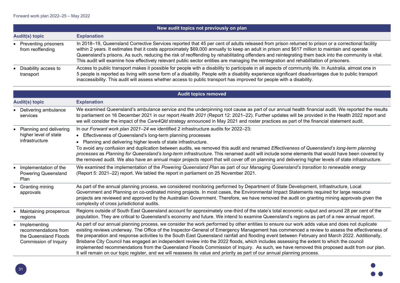| New audit topics not previously on plan    |                                                                                                                                                                                                                                                                                                                                                                                                                                                                                                                                                                                                         |  |
|--------------------------------------------|---------------------------------------------------------------------------------------------------------------------------------------------------------------------------------------------------------------------------------------------------------------------------------------------------------------------------------------------------------------------------------------------------------------------------------------------------------------------------------------------------------------------------------------------------------------------------------------------------------|--|
| <b>Audit(s) topic</b>                      | <b>Explanation</b>                                                                                                                                                                                                                                                                                                                                                                                                                                                                                                                                                                                      |  |
| • Preventing prisoners<br>from reoffending | In 2018–19, Queensland Corrective Services reported that 45 per cent of adults released from prison returned to prison or a correctional facility<br>within 2 years. It estimates that it costs approximately \$69,000 annually to keep an adult in prison and \$617 million to maintain and operate<br>Queensland's prisons. As such, reducing the risk of reoffending by rehabilitating offenders and reintegrating them back into the community is vital.<br>This audit will examine how effectively relevant public sector entities are managing the reintegration and rehabilitation of prisoners. |  |
| • Disability access to<br>transport        | Access to public transport makes it possible for people with a disability to participate in all aspects of community life. In Australia, almost one in<br>5 people is reported as living with some form of a disability. People with a disability experience significant disadvantages due to public transport<br>inaccessibility. This audit will assess whether access to public transport has improved for people with a disability.                                                                                                                                                                 |  |

| <b>Audit topics removed</b>                                                                         |                                                                                                                                                                                                                                                                                                                                                                                                                                                                                                                                                                                                                                                                                                                                                                                                                                                                      |  |
|-----------------------------------------------------------------------------------------------------|----------------------------------------------------------------------------------------------------------------------------------------------------------------------------------------------------------------------------------------------------------------------------------------------------------------------------------------------------------------------------------------------------------------------------------------------------------------------------------------------------------------------------------------------------------------------------------------------------------------------------------------------------------------------------------------------------------------------------------------------------------------------------------------------------------------------------------------------------------------------|--|
| <b>Audit(s) topic</b>                                                                               | <b>Explanation</b>                                                                                                                                                                                                                                                                                                                                                                                                                                                                                                                                                                                                                                                                                                                                                                                                                                                   |  |
| Delivering ambulance<br>services                                                                    | We examined Queensland's ambulance service and the underpinning root cause as part of our annual health financial audit. We reported the results<br>to parliament on 16 December 2021 in our report Health 2021 (Report 12: 2021-22). Further updates will be provided in the Health 2022 report and<br>we will consider the impact of the Care4Qld strategy announced in May 2021 and roster practices as part of the financial statement audit.                                                                                                                                                                                                                                                                                                                                                                                                                    |  |
| Planning and delivering<br>$\bullet$<br>higher level of state<br>infrastructure                     | In our Forward work plan 2021-24 we identified 2 infrastructure audits for 2022-23:<br>• Effectiveness of Queensland's long-term planning processes<br>• Planning and delivering higher levels of state infrastructure.<br>To avoid any confusion and duplication between audits, we removed this audit and renamed Effectiveness of Queensland's long-term planning<br>processes as Planning for Queensland's long-term infrastructure. This renamed audit will include some elements that would have been covered by<br>the removed audit. We also have an annual major projects report that will cover off on planning and delivering higher levels of state infrastructure.                                                                                                                                                                                      |  |
| Implementation of the<br><b>Powering Queensland</b><br>Plan                                         | We examined the implementation of the Powering Queensland Plan as part of our Managing Queensland's transition to renewable energy<br>(Report 5: 2021–22) report. We tabled the report in parliament on 25 November 2021.                                                                                                                                                                                                                                                                                                                                                                                                                                                                                                                                                                                                                                            |  |
| <b>Granting mining</b><br>approvals                                                                 | As part of the annual planning process, we considered monitoring performed by Department of State Development, Infrastructure, Local<br>Government and Planning on co-ordinated mining projects. In most cases, the Environmental Impact Statements required for large resource<br>projects are reviewed and approved by the Australian Government. Therefore, we have removed the audit on granting mining approvals given the<br>complexity of cross jurisdictional audits.                                                                                                                                                                                                                                                                                                                                                                                        |  |
| Maintaining prosperous<br>regions                                                                   | Regions outside of South East Queensland account for approximately one-third of the state's total economic output and around 28 per cent of the<br>population. They are critical to Queensland's economy and future. We intend to examine Queensland's regions as part of a new annual report.                                                                                                                                                                                                                                                                                                                                                                                                                                                                                                                                                                       |  |
| Implementing<br>$\bullet$<br>recommendations from<br>the Queensland Floods<br>Commission of Inquiry | As part of our annual planning process, we consider the work performed by other entities to ensure our work adds value and does not duplicate<br>existing reviews underway. The Office of the Inspector-General of Emergency Management has commenced a review to assess the effectiveness of<br>the preparation and response activities to the South East Queensland rainfall and flooding event between February and March 2022. Additionally,<br>Brisbane City Council has engaged an independent review into the 2022 floods, which includes assessing the extent to which the council<br>implemented recommendations from the Queensland Floods Commission of Inquiry. As such, we have removed this proposed audit from our plan.<br>It will remain on our topic register, and we will reassess its value and priority as part of our annual planning process. |  |